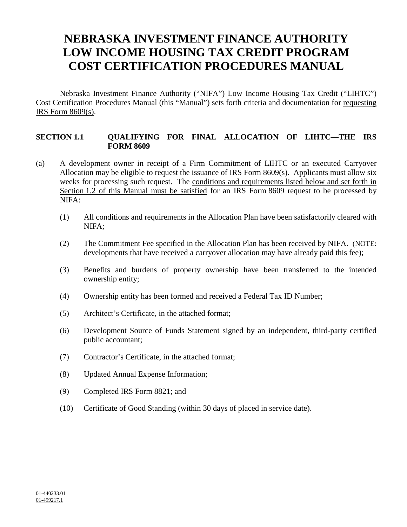# **NEBRASKA INVESTMENT FINANCE AUTHORITY LOW INCOME HOUSING TAX CREDIT PROGRAM COST CERTIFICATION PROCEDURES MANUAL**

Nebraska Investment Finance Authority ("NIFA") Low Income Housing Tax Credit ("LIHTC") Cost Certification Procedures Manual (this "Manual") sets forth criteria and documentation for requesting IRS Form 8609(s).

## **SECTION 1.1 QUALIFYING FOR FINAL ALLOCATION OF LIHTC—THE IRS FORM 8609**

- (a) A development owner in receipt of a Firm Commitment of LIHTC or an executed Carryover Allocation may be eligible to request the issuance of IRS Form 8609(s). Applicants must allow six weeks for processing such request. The conditions and requirements listed below and set forth in Section 1.2 of this Manual must be satisfied for an IRS Form 8609 request to be processed by NIFA:
	- (1) All conditions and requirements in the Allocation Plan have been satisfactorily cleared with NIFA;
	- (2) The Commitment Fee specified in the Allocation Plan has been received by NIFA. (NOTE: developments that have received a carryover allocation may have already paid this fee);
	- (3) Benefits and burdens of property ownership have been transferred to the intended ownership entity;
	- (4) Ownership entity has been formed and received a Federal Tax ID Number;
	- (5) Architect's Certificate, in the attached format;
	- (6) Development Source of Funds Statement signed by an independent, third-party certified public accountant;
	- (7) Contractor's Certificate, in the attached format;
	- (8) Updated Annual Expense Information;
	- (9) Completed IRS Form 8821; and
	- (10) Certificate of Good Standing (within 30 days of placed in service date).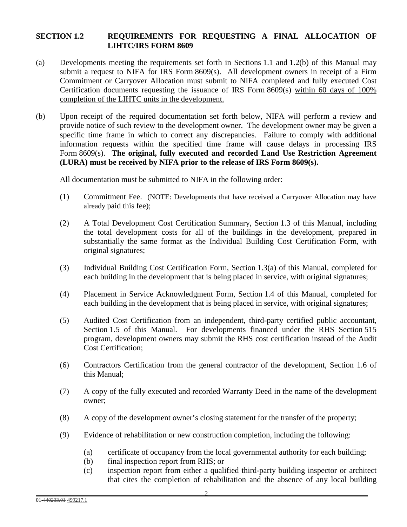## **SECTION 1.2 REQUIREMENTS FOR REQUESTING A FINAL ALLOCATION OF LIHTC/IRS FORM 8609**

- (a) Developments meeting the requirements set forth in Sections 1.1 and 1.2(b) of this Manual may submit a request to NIFA for IRS Form  $8609(s)$ . All development owners in receipt of a Firm Commitment or Carryover Allocation must submit to NIFA completed and fully executed Cost Certification documents requesting the issuance of IRS Form 8609(s) within 60 days of 100% completion of the LIHTC units in the development.
- (b) Upon receipt of the required documentation set forth below, NIFA will perform a review and provide notice of such review to the development owner. The development owner may be given a specific time frame in which to correct any discrepancies. Failure to comply with additional information requests within the specified time frame will cause delays in processing IRS Form 8609(s). **The original, fully executed and recorded Land Use Restriction Agreement (LURA) must be received by NIFA prior to the release of IRS Form 8609(s).**

All documentation must be submitted to NIFA in the following order:

- (1) Commitment Fee. (NOTE: Developments that have received a Carryover Allocation may have already paid this fee);
- (2) A Total Development Cost Certification Summary, Section 1.3 of this Manual, including the total development costs for all of the buildings in the development, prepared in substantially the same format as the Individual Building Cost Certification Form, with original signatures;
- (3) Individual Building Cost Certification Form, Section 1.3(a) of this Manual, completed for each building in the development that is being placed in service, with original signatures;
- (4) Placement in Service Acknowledgment Form, Section 1.4 of this Manual, completed for each building in the development that is being placed in service, with original signatures;
- (5) Audited Cost Certification from an independent, third-party certified public accountant, Section 1.5 of this Manual. For developments financed under the RHS Section 515 program, development owners may submit the RHS cost certification instead of the Audit Cost Certification;
- (6) Contractors Certification from the general contractor of the development, Section 1.6 of this Manual;
- (7) A copy of the fully executed and recorded Warranty Deed in the name of the development owner;
- (8) A copy of the development owner's closing statement for the transfer of the property;
- (9) Evidence of rehabilitation or new construction completion, including the following:
	- (a) certificate of occupancy from the local governmental authority for each building;
	- (b) final inspection report from RHS; or
	- (c) inspection report from either a qualified third-party building inspector or architect that cites the completion of rehabilitation and the absence of any local building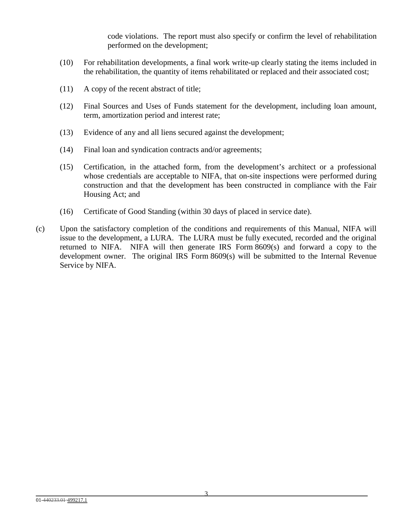code violations. The report must also specify or confirm the level of rehabilitation performed on the development;

- (10) For rehabilitation developments, a final work write-up clearly stating the items included in the rehabilitation, the quantity of items rehabilitated or replaced and their associated cost;
- (11) A copy of the recent abstract of title;
- (12) Final Sources and Uses of Funds statement for the development, including loan amount, term, amortization period and interest rate;
- (13) Evidence of any and all liens secured against the development;
- (14) Final loan and syndication contracts and/or agreements;
- (15) Certification, in the attached form, from the development's architect or a professional whose credentials are acceptable to NIFA, that on-site inspections were performed during construction and that the development has been constructed in compliance with the Fair Housing Act; and
- (16) Certificate of Good Standing (within 30 days of placed in service date).
- (c) Upon the satisfactory completion of the conditions and requirements of this Manual, NIFA will issue to the development, a LURA. The LURA must be fully executed, recorded and the original returned to NIFA. NIFA will then generate IRS Form 8609(s) and forward a copy to the development owner. The original IRS Form 8609(s) will be submitted to the Internal Revenue Service by NIFA.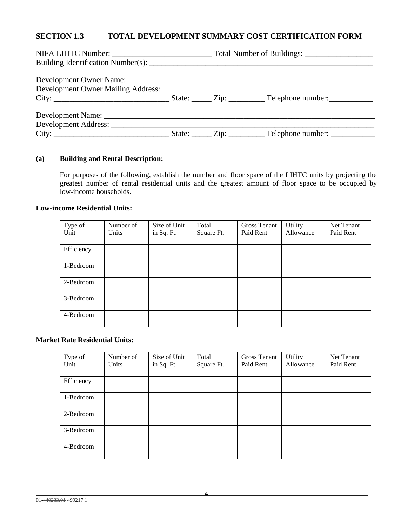# **SECTION 1.3 TOTAL DEVELOPMENT SUMMARY COST CERTIFICATION FORM**

#### **(a) Building and Rental Description:**

For purposes of the following, establish the number and floor space of the LIHTC units by projecting the greatest number of rental residential units and the greatest amount of floor space to be occupied by low-income households.

#### **Low-income Residential Units:**

| Type of    | Number of | Size of Unit | Total      | Gross Tenant | <b>Utility</b> | Net Tenant |
|------------|-----------|--------------|------------|--------------|----------------|------------|
| Unit       | Units     | in Sq. Ft.   | Square Ft. | Paid Rent    | Allowance      | Paid Rent  |
|            |           |              |            |              |                |            |
| Efficiency |           |              |            |              |                |            |
|            |           |              |            |              |                |            |
| 1-Bedroom  |           |              |            |              |                |            |
|            |           |              |            |              |                |            |
| 2-Bedroom  |           |              |            |              |                |            |
|            |           |              |            |              |                |            |
| 3-Bedroom  |           |              |            |              |                |            |
|            |           |              |            |              |                |            |
| 4-Bedroom  |           |              |            |              |                |            |
|            |           |              |            |              |                |            |

#### **Market Rate Residential Units:**

| Type of    | Number of | Size of Unit | Total      | <b>Gross Tenant</b> | <b>Utility</b> | Net Tenant |
|------------|-----------|--------------|------------|---------------------|----------------|------------|
| Unit       | Units     | in Sq. Ft.   | Square Ft. | Paid Rent           | Allowance      | Paid Rent  |
|            |           |              |            |                     |                |            |
| Efficiency |           |              |            |                     |                |            |
|            |           |              |            |                     |                |            |
| 1-Bedroom  |           |              |            |                     |                |            |
|            |           |              |            |                     |                |            |
| 2-Bedroom  |           |              |            |                     |                |            |
|            |           |              |            |                     |                |            |
| 3-Bedroom  |           |              |            |                     |                |            |
|            |           |              |            |                     |                |            |
| 4-Bedroom  |           |              |            |                     |                |            |
|            |           |              |            |                     |                |            |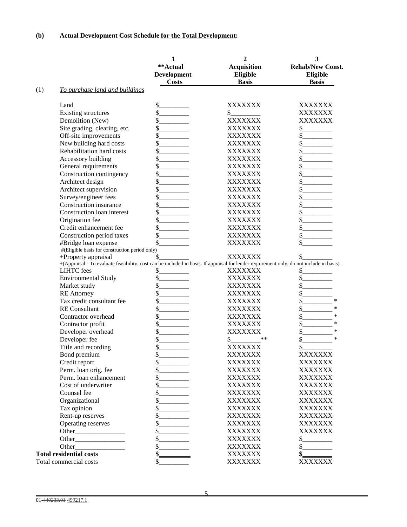|     |                                                                                                                                           | 1                  | 2                  | 3                       |
|-----|-------------------------------------------------------------------------------------------------------------------------------------------|--------------------|--------------------|-------------------------|
|     |                                                                                                                                           | **Actual           | <b>Acquisition</b> | <b>Rehab/New Const.</b> |
|     |                                                                                                                                           | <b>Development</b> | Eligible           | Eligible                |
|     |                                                                                                                                           | <b>Costs</b>       | <b>Basis</b>       | <b>Basis</b>            |
| (1) | To purchase land and buildings                                                                                                            |                    |                    |                         |
|     | Land                                                                                                                                      | \$                 | XXXXXXX            | XXXXXXX                 |
|     | <b>Existing structures</b>                                                                                                                | \$                 | \$                 | XXXXXXX                 |
|     | Demolition (New)                                                                                                                          | \$                 | <b>XXXXXXX</b>     | <b>XXXXXXX</b>          |
|     | Site grading, clearing, etc.                                                                                                              | \$                 | XXXXXXX            | \$                      |
|     | Off-site improvements                                                                                                                     | \$                 | XXXXXXX            | $\frac{\sqrt{2}}{2}$    |
|     | New building hard costs                                                                                                                   | \$                 | XXXXXXX            | \$                      |
|     | Rehabilitation hard costs                                                                                                                 | \$                 | XXXXXXX            | \$                      |
|     | Accessory building                                                                                                                        | \$                 | XXXXXXX            | \$                      |
|     | General requirements                                                                                                                      | \$                 | XXXXXXX            | \$                      |
|     | Construction contingency                                                                                                                  | \$                 | XXXXXXX            | \$                      |
|     | Architect design                                                                                                                          | \$                 | XXXXXXX            | \$                      |
|     | Architect supervision                                                                                                                     | \$                 | XXXXXXX            | \$                      |
|     | Survey/engineer fees                                                                                                                      | \$                 | XXXXXXX            | \$                      |
|     | Construction insurance                                                                                                                    | \$                 | XXXXXXX            | \$                      |
|     | Construction loan interest                                                                                                                | \$                 | <b>XXXXXXX</b>     | \$                      |
|     | Origination fee                                                                                                                           | \$                 | <b>XXXXXXX</b>     | \$                      |
|     | Credit enhancement fee                                                                                                                    | \$                 | <b>XXXXXXX</b>     | \$                      |
|     | Construction period taxes                                                                                                                 | \$                 | <b>XXXXXXX</b>     | \$                      |
|     |                                                                                                                                           | \$                 | <b>XXXXXXX</b>     | \$                      |
|     | #Bridge loan expense<br>#(Eligible basis for construction period only)                                                                    |                    |                    |                         |
|     | +Property appraisal                                                                                                                       | \$                 | <b>XXXXXXX</b>     | \$                      |
|     | +(Appraisal - To evaluate feasibility, cost can be included in basis. If appraisal for lender requirement only, do not include in basis). |                    |                    |                         |
|     | <b>LIHTC</b> fees                                                                                                                         | \$                 | XXXXXXX            | \$                      |
|     | <b>Environmental Study</b>                                                                                                                | \$                 | XXXXXXX            | \$                      |
|     | Market study                                                                                                                              | \$                 | XXXXXXX            | \$                      |
|     | <b>RE</b> Attorney                                                                                                                        | \$                 | XXXXXXX            | \$                      |
|     | Tax credit consultant fee                                                                                                                 | \$                 | XXXXXXX            | \$<br>*                 |
|     | <b>RE</b> Consultant                                                                                                                      | \$                 | XXXXXXX            | \$<br>*                 |
|     | Contractor overhead                                                                                                                       | \$                 | XXXXXXX            | \$<br>$\ast$            |
|     | Contractor profit                                                                                                                         | \$                 | XXXXXXX            | \$<br>∗                 |
|     | Developer overhead                                                                                                                        | \$                 | XXXXXXX            | \$<br>*                 |
|     | Developer fee                                                                                                                             | \$                 | **<br>\$           | \$<br>*                 |
|     | Title and recording                                                                                                                       | \$                 | XXXXXXX            | \$                      |
|     | Bond premium                                                                                                                              | \$                 | <b>XXXXXXX</b>     | <b>XXXXXXX</b>          |
|     | Credit report                                                                                                                             | \$                 | XXXXXXX            | <b>XXXXXXX</b>          |
|     | Perm. loan orig. fee                                                                                                                      | \$                 | <b>XXXXXXX</b>     | <b>XXXXXXX</b>          |
|     | Perm. loan enhancement                                                                                                                    | \$.                | <b>XXXXXXX</b>     | <b>XXXXXXX</b>          |
|     | Cost of underwriter                                                                                                                       | \$                 | <b>XXXXXXX</b>     | <b>XXXXXXX</b>          |
|     |                                                                                                                                           |                    |                    |                         |
|     | Counsel fee                                                                                                                               | \$                 | <b>XXXXXXX</b>     | <b>XXXXXXX</b>          |
|     | Organizational                                                                                                                            | \$                 | <b>XXXXXXX</b>     | <b>XXXXXXX</b>          |
|     | Tax opinion                                                                                                                               | \$                 | <b>XXXXXXX</b>     | <b>XXXXXXX</b>          |
|     | Rent-up reserves                                                                                                                          | \$                 | <b>XXXXXXX</b>     | <b>XXXXXXX</b>          |
|     | Operating reserves                                                                                                                        | \$                 | <b>XXXXXXX</b>     | XXXXXXX                 |
|     |                                                                                                                                           | \$                 | <b>XXXXXXX</b>     | XXXXXXX                 |
|     |                                                                                                                                           | \$                 | <b>XXXXXXX</b>     | \$.                     |
|     | Other                                                                                                                                     | \$                 | <b>XXXXXXX</b>     | \$                      |
|     | <b>Total residential costs</b>                                                                                                            | \$.                | <b>XXXXXXX</b>     |                         |
|     | Total commercial costs                                                                                                                    | \$                 | <b>XXXXXXX</b>     | XXXXXXX                 |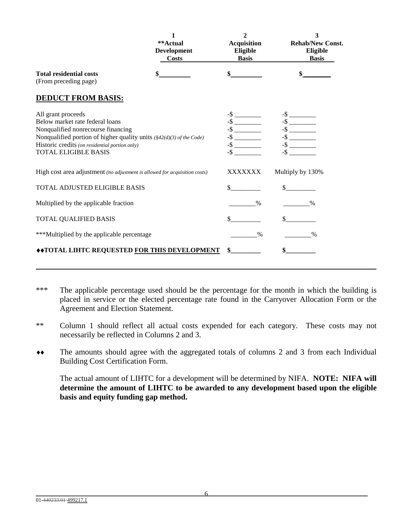|                                                                                                                                                                                                                                                      | **Actual<br><b>Development</b><br><b>Costs</b> | 2<br><b>Acquisition</b><br>Eligible<br><b>Basis</b> | 3<br><b>Rehab/New Const.</b><br>Eligible<br><b>Basis</b> |
|------------------------------------------------------------------------------------------------------------------------------------------------------------------------------------------------------------------------------------------------------|------------------------------------------------|-----------------------------------------------------|----------------------------------------------------------|
| <b>Total residential costs</b><br>(From preceding page)                                                                                                                                                                                              |                                                |                                                     |                                                          |
| <b>DEDUCT FROM BASIS:</b>                                                                                                                                                                                                                            |                                                |                                                     |                                                          |
| All grant proceeds<br>Below market rate federal loans<br>Nonqualified nonrecourse financing<br>Nonqualified portion of higher quality units (§42(d)(3) of the Code)<br>Historic credits (on residential portion only)<br><b>TOTAL ELIGIBLE BASIS</b> |                                                |                                                     |                                                          |
| High cost area adjustment (no adjustment is allowed for acquisition costs)                                                                                                                                                                           |                                                | XXXXXXX                                             | Multiply by 130%                                         |
| TOTAL ADJUSTED ELIGIBLE BASIS                                                                                                                                                                                                                        |                                                | $\sim$                                              |                                                          |
| Multiplied by the applicable fraction                                                                                                                                                                                                                |                                                | $\%$                                                | $\frac{0}{0}$                                            |
| TOTAL QUALIFIED BASIS                                                                                                                                                                                                                                |                                                |                                                     | $\mathbf{s}$                                             |
| ***Multiplied by the applicable percentage                                                                                                                                                                                                           |                                                | $\%$                                                | $\%$                                                     |
| ◆◆TOTAL LIHTC REQUESTED FOR THIS DEVELOPMENT                                                                                                                                                                                                         |                                                | $\sim$                                              | \$                                                       |

- \*\*\* The applicable percentage used should be the percentage for the month in which the building is placed in service or the elected percentage rate found in the Carryover Allocation Form or the Agreement and Election Statement.
- \*\* Column 1 should reflect all actual costs expended for each category. These costs may not necessarily be reflected in Columns 2 and 3.
- ♦♦ The amounts should agree with the aggregated totals of columns 2 and 3 from each Individual Building Cost Certification Form.

The actual amount of LIHTC for a development will be determined by NIFA. **NOTE: NIFA will determine the amount of LIHTC to be awarded to any development based upon the eligible basis and equity funding gap method.**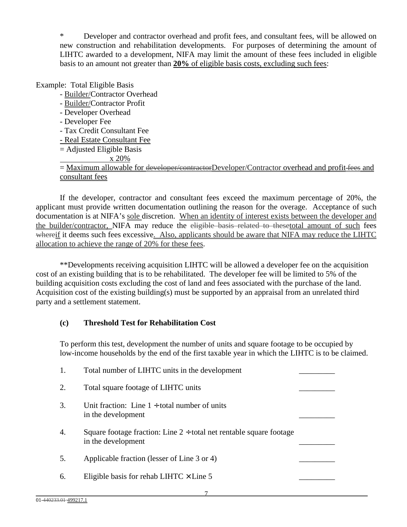\* Developer and contractor overhead and profit fees, and consultant fees, will be allowed on new construction and rehabilitation developments. For purposes of determining the amount of LIHTC awarded to a development, NIFA may limit the amount of these fees included in eligible basis to an amount not greater than **20%** of eligible basis costs, excluding such fees:

# Example: Total Eligible Basis

- Builder/Contractor Overhead
- Builder/Contractor Profit
- Developer Overhead
- Developer Fee
- Tax Credit Consultant Fee
- Real Estate Consultant Fee
- = Adjusted Eligible Basis

# x 20%

= Maximum allowable for <del>developer/contractor</del>Developer/Contractor overhead and profit fees and consultant fees

If the developer, contractor and consultant fees exceed the maximum percentage of 20%, the applicant must provide written documentation outlining the reason for the overage. Acceptance of such documentation is at NIFA's sole discretion. When an identity of interest exists between the developer and the builder/contractor, NIFA may reduce the eligible basis related to thesetotal amount of such fees whereif it deems such fees excessive. Also, applicants should be aware that NIFA may reduce the LIHTC allocation to achieve the range of 20% for these fees.

\*\*Developments receiving acquisition LIHTC will be allowed a developer fee on the acquisition cost of an existing building that is to be rehabilitated. The developer fee will be limited to 5% of the building acquisition costs excluding the cost of land and fees associated with the purchase of the land. Acquisition cost of the existing building(s) must be supported by an appraisal from an unrelated third party and a settlement statement.

# **(c) Threshold Test for Rehabilitation Cost**

To perform this test, development the number of units and square footage to be occupied by low-income households by the end of the first taxable year in which the LIHTC is to be claimed.

|    | Total number of LIHTC units in the development                                                 |  |
|----|------------------------------------------------------------------------------------------------|--|
| 2. | Total square footage of LIHTC units                                                            |  |
| 3. | Unit fraction: Line $1 \div$ total number of units<br>in the development                       |  |
| 4. | Square footage fraction: Line $2 \div$ total net rentable square footage<br>in the development |  |
| 5. | Applicable fraction (lesser of Line 3 or 4)                                                    |  |
| 6. | Eligible basis for rehab LIHTC $\times$ Line 5                                                 |  |
|    |                                                                                                |  |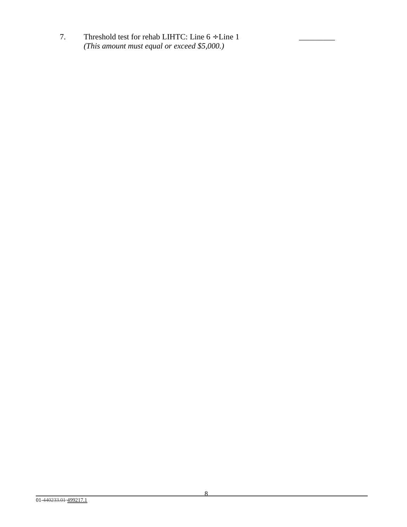7. Threshold test for rehab LIHTC: Line  $6 \div$  Line 1  *(This amount must equal or exceed \$5,000.)*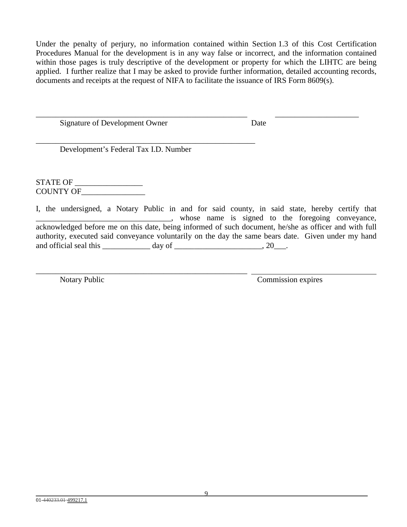Under the penalty of perjury, no information contained within Section 1.3 of this Cost Certification Procedures Manual for the development is in any way false or incorrect, and the information contained within those pages is truly descriptive of the development or property for which the LIHTC are being applied. I further realize that I may be asked to provide further information, detailed accounting records, documents and receipts at the request of NIFA to facilitate the issuance of IRS Form 8609(s).

\_\_\_\_\_\_\_\_\_\_\_\_\_\_\_\_\_\_\_\_\_\_\_\_\_\_\_\_\_\_\_\_\_\_\_\_\_\_\_\_\_\_\_\_\_\_\_\_\_\_\_\_\_ \_\_\_\_\_\_\_\_\_\_\_\_\_\_\_\_\_\_\_\_\_

Signature of Development Owner Date

Development's Federal Tax I.D. Number

\_\_\_\_\_\_\_\_\_\_\_\_\_\_\_\_\_\_\_\_\_\_\_\_\_\_\_\_\_\_\_\_\_\_\_\_\_\_\_\_\_\_\_\_\_\_\_\_\_\_\_\_\_\_\_

\_\_\_\_\_\_\_\_\_\_\_\_\_\_\_\_\_\_\_\_\_\_\_\_\_\_\_\_\_\_\_\_\_\_\_\_\_\_\_\_\_\_\_\_\_\_\_\_\_\_\_\_\_

STATE OF COUNTY OF\_\_\_\_\_\_\_\_\_\_\_\_\_\_\_\_

I, the undersigned, a Notary Public in and for said county, in said state, hereby certify that whose name is signed to the foregoing conveyance, acknowledged before me on this date, being informed of such document, he/she as officer and with full authority, executed said conveyance voluntarily on the day the same bears date. Given under my hand and official seal this day of the contract of the contract of the contract of the contract of the contract of the contract of the contract of the contract of the contract of the contract of the contract of the contract of

Notary Public Commission expires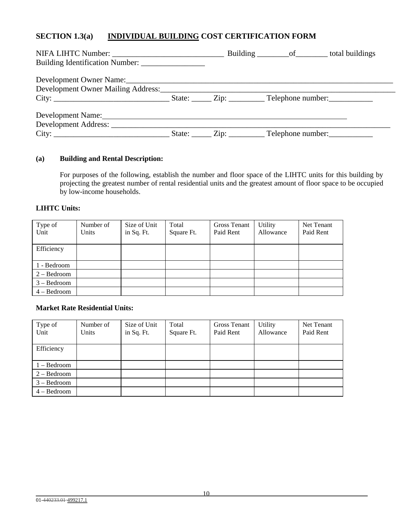# **SECTION 1.3(a) INDIVIDUAL BUILDING COST CERTIFICATION FORM**

| Development Name: Name:<br>City: |  | State: <u>____</u> Zip: _________ Telephone number: __________ |  |
|----------------------------------|--|----------------------------------------------------------------|--|

## **(a) Building and Rental Description:**

For purposes of the following, establish the number and floor space of the LIHTC units for this building by projecting the greatest number of rental residential units and the greatest amount of floor space to be occupied by low-income households.

#### **LIHTC Units:**

| Type of<br>Unit | Number of<br>Units | Size of Unit<br>in Sq. Ft. | Total<br>Square Ft. | <b>Gross Tenant</b><br>Paid Rent | Utility<br>Allowance | Net Tenant<br>Paid Rent |
|-----------------|--------------------|----------------------------|---------------------|----------------------------------|----------------------|-------------------------|
|                 |                    |                            |                     |                                  |                      |                         |
| Efficiency      |                    |                            |                     |                                  |                      |                         |
|                 |                    |                            |                     |                                  |                      |                         |
| 1 - Bedroom     |                    |                            |                     |                                  |                      |                         |
| $2 - Bedroom$   |                    |                            |                     |                                  |                      |                         |
| $3 - Bedroom$   |                    |                            |                     |                                  |                      |                         |
| $4 - Bedroom$   |                    |                            |                     |                                  |                      |                         |

#### **Market Rate Residential Units:**

| Type of<br>Unit | Number of<br>Units | Size of Unit<br>in Sq. Ft. | Total<br>Square Ft. | <b>Gross Tenant</b><br>Paid Rent | Utility<br>Allowance | Net Tenant<br>Paid Rent |
|-----------------|--------------------|----------------------------|---------------------|----------------------------------|----------------------|-------------------------|
|                 |                    |                            |                     |                                  |                      |                         |
| Efficiency      |                    |                            |                     |                                  |                      |                         |
|                 |                    |                            |                     |                                  |                      |                         |
| $1 - Bedroom$   |                    |                            |                     |                                  |                      |                         |
| $2 - Bedroom$   |                    |                            |                     |                                  |                      |                         |
| $3 - Bedroom$   |                    |                            |                     |                                  |                      |                         |
| $4 - Bedroom$   |                    |                            |                     |                                  |                      |                         |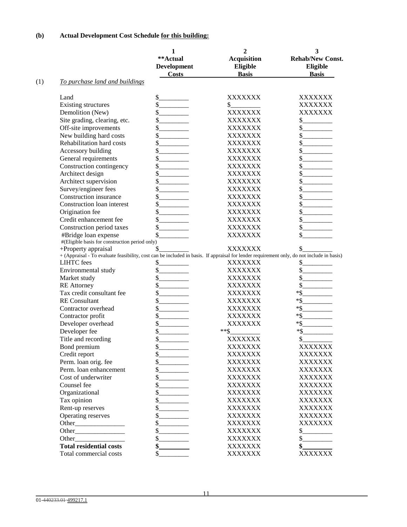# **(b) Actual Development Cost Schedule for this building:**

|     |                                                                                                                                                                                                                                     | 1<br>**Actual<br>Development | 2<br><b>Acquisition</b><br>Eligible | 3<br><b>Rehab/New Const.</b><br>Eligible |
|-----|-------------------------------------------------------------------------------------------------------------------------------------------------------------------------------------------------------------------------------------|------------------------------|-------------------------------------|------------------------------------------|
| (1) | To purchase land and buildings                                                                                                                                                                                                      | <b>Costs</b>                 | <b>Basis</b>                        | <b>Basis</b>                             |
|     |                                                                                                                                                                                                                                     |                              |                                     |                                          |
|     | Land                                                                                                                                                                                                                                | \$                           | XXXXXXX                             | XXXXXXX                                  |
|     | Existing structures                                                                                                                                                                                                                 |                              | \$_                                 | XXXXXXX                                  |
|     | Demolition (New)                                                                                                                                                                                                                    | \$                           | <b>XXXXXXX</b>                      | <b>XXXXXXX</b>                           |
|     | Site grading, clearing, etc.                                                                                                                                                                                                        | \$                           | XXXXXXX                             | \$.                                      |
|     | Off-site improvements                                                                                                                                                                                                               | \$                           | XXXXXXX                             | \$                                       |
|     | New building hard costs                                                                                                                                                                                                             | \$                           | XXXXXXX                             | \$                                       |
|     | Rehabilitation hard costs                                                                                                                                                                                                           | \$                           | XXXXXXX                             | \$                                       |
|     | Accessory building                                                                                                                                                                                                                  | \$                           | XXXXXXX                             | \$                                       |
|     | General requirements                                                                                                                                                                                                                | \$                           | XXXXXXX                             | \$                                       |
|     | Construction contingency                                                                                                                                                                                                            | \$                           | XXXXXXX                             | \$                                       |
|     | Architect design                                                                                                                                                                                                                    | \$                           | XXXXXXX                             | \$                                       |
|     | Architect supervision                                                                                                                                                                                                               | \$                           | XXXXXXX                             | \$                                       |
|     | Survey/engineer fees                                                                                                                                                                                                                | \$                           | XXXXXXX                             | \$                                       |
|     | Construction insurance                                                                                                                                                                                                              | \$                           | XXXXXXX                             | \$                                       |
|     | Construction loan interest                                                                                                                                                                                                          | \$                           | XXXXXXX                             | \$                                       |
|     | Origination fee                                                                                                                                                                                                                     | \$                           | XXXXXXX                             | \$                                       |
|     | Credit enhancement fee                                                                                                                                                                                                              | \$                           | XXXXXXX                             | \$                                       |
|     |                                                                                                                                                                                                                                     | \$                           |                                     | \$                                       |
|     | Construction period taxes                                                                                                                                                                                                           |                              | XXXXXXX                             |                                          |
|     | #Bridge loan expense<br>#(Eligible basis for construction period only)                                                                                                                                                              |                              | XXXXXXX                             | \$                                       |
|     | +Property appraisal                                                                                                                                                                                                                 | \$                           | XXXXXXX                             | \$                                       |
|     | + (Appraisal - To evaluate feasibility, cost can be included in basis. If appraisal for lender requirement only, do not include in basis)                                                                                           |                              |                                     |                                          |
|     | <b>LIHTC</b> fees                                                                                                                                                                                                                   | \$                           | XXXXXXX                             | \$                                       |
|     | Environmental study                                                                                                                                                                                                                 | \$                           | XXXXXXX                             | \$                                       |
|     | Market study                                                                                                                                                                                                                        | \$                           | XXXXXXX                             | \$                                       |
|     | <b>RE</b> Attorney                                                                                                                                                                                                                  | \$                           | XXXXXXX                             | \$                                       |
|     | Tax credit consultant fee                                                                                                                                                                                                           | \$                           | XXXXXXX                             | $*$ \$                                   |
|     | <b>RE</b> Consultant                                                                                                                                                                                                                | \$                           | XXXXXXX                             | $*$ \$                                   |
|     | Contractor overhead                                                                                                                                                                                                                 |                              |                                     | $*$ \$                                   |
|     |                                                                                                                                                                                                                                     | \$                           | XXXXXXX                             |                                          |
|     | Contractor profit                                                                                                                                                                                                                   | \$                           | XXXXXXX                             | $*$ \$                                   |
|     | Developer overhead                                                                                                                                                                                                                  | \$                           | XXXXXXX                             | $*$ \$                                   |
|     | Developer fee                                                                                                                                                                                                                       | \$                           | **\$                                | $*$ \$                                   |
|     | Title and recording                                                                                                                                                                                                                 | \$                           | XXXXXXX                             | \$                                       |
|     | Bond premium                                                                                                                                                                                                                        | \$                           | XXXXXXX                             | XXXXXXX                                  |
|     | Credit report                                                                                                                                                                                                                       | \$                           | XXXXXXX                             | XXXXXXX                                  |
|     | Perm. loan orig. fee                                                                                                                                                                                                                | \$                           | XXXXXXX                             | <b>XXXXXXX</b>                           |
|     | Perm. loan enhancement                                                                                                                                                                                                              | \$                           | XXXXXXX                             | <b>XXXXXXX</b>                           |
|     | Cost of underwriter                                                                                                                                                                                                                 | \$                           | XXXXXXX                             | <b>XXXXXXX</b>                           |
|     | Counsel fee                                                                                                                                                                                                                         | \$                           | XXXXXXX                             | <b>XXXXXXX</b>                           |
|     | Organizational                                                                                                                                                                                                                      | \$                           | XXXXXXX                             | <b>XXXXXXX</b>                           |
|     | Tax opinion                                                                                                                                                                                                                         | \$                           | XXXXXXX                             | XXXXXXX                                  |
|     | Rent-up reserves                                                                                                                                                                                                                    | \$<br>and the control of     | XXXXXXX                             | <b>XXXXXXX</b>                           |
|     | Operating reserves                                                                                                                                                                                                                  | \$                           | XXXXXXX                             | XXXXXXX                                  |
|     |                                                                                                                                                                                                                                     | \$                           | XXXXXXX                             | <b>XXXXXXX</b>                           |
|     |                                                                                                                                                                                                                                     | \$                           | <b>XXXXXXX</b>                      | \$                                       |
|     | <b>Other</b> control of the control of the control of the control of the control of the control of the control of the control of the control of the control of the control of the control of the control of the control of the cont |                              | XXXXXXX                             | \$                                       |
|     | <b>Total residential costs</b>                                                                                                                                                                                                      |                              | XXXXXXX                             | \$_                                      |
|     |                                                                                                                                                                                                                                     |                              |                                     | XXXXXXX                                  |
|     | Total commercial costs                                                                                                                                                                                                              | \$                           | XXXXXXX                             |                                          |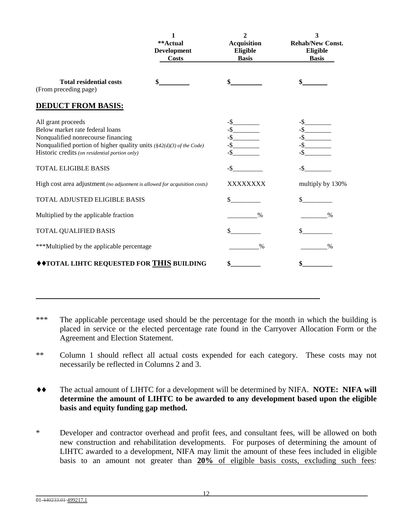|                                                                                                                                                                                                                                                                | **Actual<br>Development<br><b>Costs</b> | $\mathbf{2}$<br><b>Acquisition</b><br>Eligible<br><b>Basis</b> | 3<br><b>Rehab/New Const.</b><br>Eligible<br><b>Basis</b> |
|----------------------------------------------------------------------------------------------------------------------------------------------------------------------------------------------------------------------------------------------------------------|-----------------------------------------|----------------------------------------------------------------|----------------------------------------------------------|
| <b>Total residential costs</b><br>(From preceding page)                                                                                                                                                                                                        |                                         |                                                                |                                                          |
| <b>DEDUCT FROM BASIS:</b>                                                                                                                                                                                                                                      |                                         |                                                                |                                                          |
| All grant proceeds<br>Below market rate federal loans<br>Nonqualified nonrecourse financing<br>Nonqualified portion of higher quality units $(\frac{8}{2}(d)(3)$ of the Code)<br>Historic credits (on residential portion only)<br><b>TOTAL ELIGIBLE BASIS</b> |                                         | $-$ \$<br>-\$                                                  | $-$ \$                                                   |
| High cost area adjustment (no adjustment is allowed for acquisition costs)                                                                                                                                                                                     |                                         | XXXXXXXX                                                       | multiply by 130%                                         |
| TOTAL ADJUSTED ELIGIBLE BASIS                                                                                                                                                                                                                                  |                                         | \$                                                             |                                                          |
| Multiplied by the applicable fraction                                                                                                                                                                                                                          |                                         | $\%$                                                           | $\frac{0}{0}$                                            |
| TOTAL QUALIFIED BASIS                                                                                                                                                                                                                                          |                                         | \$                                                             | \$                                                       |
| ***Multiplied by the applicable percentage                                                                                                                                                                                                                     |                                         | $\frac{0}{0}$                                                  | $\%$                                                     |
| ◆ ◆ TOTAL LIHTC REQUESTED FOR THIS BUILDING                                                                                                                                                                                                                    |                                         | \$                                                             |                                                          |

\*\*\* The applicable percentage used should be the percentage for the month in which the building is placed in service or the elected percentage rate found in the Carryover Allocation Form or the Agreement and Election Statement.

- \*\* Column 1 should reflect all actual costs expended for each category. These costs may not necessarily be reflected in Columns 2 and 3.
- ♦♦ The actual amount of LIHTC for a development will be determined by NIFA. **NOTE: NIFA will determine the amount of LIHTC to be awarded to any development based upon the eligible basis and equity funding gap method.**
- \* Developer and contractor overhead and profit fees, and consultant fees, will be allowed on both new construction and rehabilitation developments. For purposes of determining the amount of LIHTC awarded to a development, NIFA may limit the amount of these fees included in eligible basis to an amount not greater than **20%** of eligible basis costs, excluding such fees: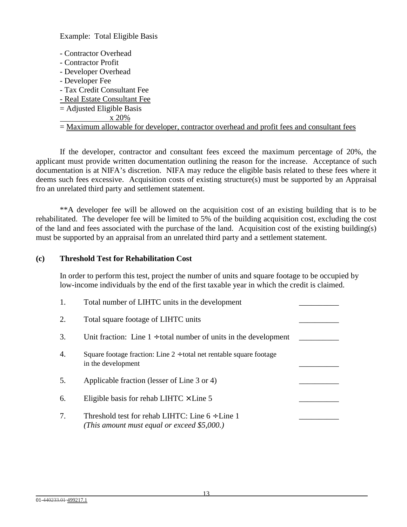Example: Total Eligible Basis

- Contractor Overhead
- Contractor Profit
- Developer Overhead
- Developer Fee
- Tax Credit Consultant Fee
- Real Estate Consultant Fee
- $=$  Adjusted Eligible Basis
- x 20%
- = Maximum allowable for developer, contractor overhead and profit fees and consultant fees

If the developer, contractor and consultant fees exceed the maximum percentage of 20%, the applicant must provide written documentation outlining the reason for the increase. Acceptance of such documentation is at NIFA's discretion. NIFA may reduce the eligible basis related to these fees where it deems such fees excessive. Acquisition costs of existing structure(s) must be supported by an Appraisal fro an unrelated third party and settlement statement.

\*\*A developer fee will be allowed on the acquisition cost of an existing building that is to be rehabilitated. The developer fee will be limited to 5% of the building acquisition cost, excluding the cost of the land and fees associated with the purchase of the land. Acquisition cost of the existing building(s) must be supported by an appraisal from an unrelated third party and a settlement statement.

#### **(c) Threshold Test for Rehabilitation Cost**

In order to perform this test, project the number of units and square footage to be occupied by low-income individuals by the end of the first taxable year in which the credit is claimed.

| 1. | Total number of LIHTC units in the development                                                      |  |
|----|-----------------------------------------------------------------------------------------------------|--|
| 2. | Total square footage of LIHTC units                                                                 |  |
| 3. | Unit fraction: Line $1 \div$ total number of units in the development                               |  |
| 4. | Square footage fraction: Line $2 \div$ total net rentable square footage<br>in the development      |  |
| 5. | Applicable fraction (lesser of Line 3 or 4)                                                         |  |
| 6. | Eligible basis for rehab LIHTC $\times$ Line 5                                                      |  |
| 7. | Threshold test for rehab LIHTC: Line $6 \div$ Line 1<br>(This amount must equal or exceed \$5,000.) |  |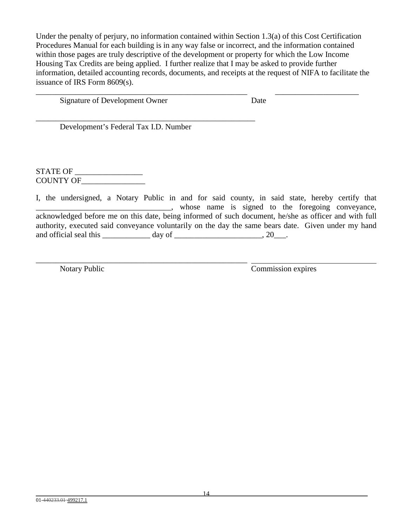Under the penalty of perjury, no information contained within Section 1.3(a) of this Cost Certification Procedures Manual for each building is in any way false or incorrect, and the information contained within those pages are truly descriptive of the development or property for which the Low Income Housing Tax Credits are being applied. I further realize that I may be asked to provide further information, detailed accounting records, documents, and receipts at the request of NIFA to facilitate the issuance of IRS Form 8609(s).

\_\_\_\_\_\_\_\_\_\_\_\_\_\_\_\_\_\_\_\_\_\_\_\_\_\_\_\_\_\_\_\_\_\_\_\_\_\_\_\_\_\_\_\_\_\_\_\_\_\_\_\_\_ \_\_\_\_\_\_\_\_\_\_\_\_\_\_\_\_\_\_\_\_\_

Signature of Development Owner Date

\_\_\_\_\_\_\_\_\_\_\_\_\_\_\_\_\_\_\_\_\_\_\_\_\_\_\_\_\_\_\_\_\_\_\_\_\_\_\_\_\_\_\_\_\_\_\_\_\_\_\_\_\_\_\_ Development's Federal Tax I.D. Number

\_\_\_\_\_\_\_\_\_\_\_\_\_\_\_\_\_\_\_\_\_\_\_\_\_\_\_\_\_\_\_\_\_\_\_\_\_\_\_\_\_\_\_\_\_\_\_\_\_\_\_\_\_

STATE OF \_\_\_\_\_\_\_\_\_\_\_\_\_\_\_\_\_ COUNTY OF\_

I, the undersigned, a Notary Public in and for said county, in said state, hereby certify that \_\_\_\_\_\_\_\_\_\_\_\_\_\_\_\_\_\_\_\_\_\_\_\_\_\_\_\_\_\_\_\_\_\_, whose name is signed to the foregoing conveyance, acknowledged before me on this date, being informed of such document, he/she as officer and with full authority, executed said conveyance voluntarily on the day the same bears date. Given under my hand and official seal this day of the contract of the contract of the contract of the contract of the contract of the contract of the contract of the contract of the contract of the contract of the contract of the contract of

Notary Public Commission expires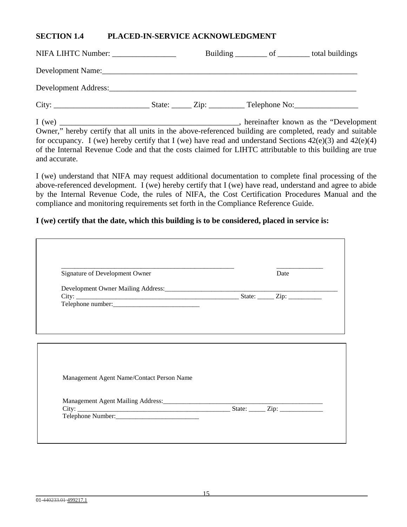## **SECTION 1.4 PLACED-IN-SERVICE ACKNOWLEDGMENT**

| NIFA LIHTC Number:   |                               | Building ___________ of ___________ total buildings |  |
|----------------------|-------------------------------|-----------------------------------------------------|--|
|                      |                               |                                                     |  |
| Development Address: |                               |                                                     |  |
| City:                | State: $\angle$ Zip: $\angle$ | $\Gamma$ Telephone No:                              |  |

I (we) \_\_\_\_\_\_\_\_\_\_\_\_\_\_\_\_\_\_\_\_\_\_\_\_\_\_\_\_\_\_\_\_\_\_\_\_\_\_\_\_\_\_\_\_\_, hereinafter known as the "Development Owner," hereby certify that all units in the above-referenced building are completed, ready and suitable for occupancy. I (we) hereby certify that I (we) have read and understand Sections  $42(e)(3)$  and  $42(e)(4)$ of the Internal Revenue Code and that the costs claimed for LIHTC attributable to this building are true and accurate.

I (we) understand that NIFA may request additional documentation to complete final processing of the above-referenced development. I (we) hereby certify that I (we) have read, understand and agree to abide by the Internal Revenue Code, the rules of NIFA, the Cost Certification Procedures Manual and the compliance and monitoring requirements set forth in the Compliance Reference Guide.

## **I (we) certify that the date, which this building is to be considered, placed in service is:**

| Signature of Development Owner            | Date                                                                                                                 |
|-------------------------------------------|----------------------------------------------------------------------------------------------------------------------|
|                                           |                                                                                                                      |
|                                           |                                                                                                                      |
|                                           |                                                                                                                      |
|                                           |                                                                                                                      |
|                                           |                                                                                                                      |
|                                           |                                                                                                                      |
|                                           |                                                                                                                      |
|                                           |                                                                                                                      |
|                                           |                                                                                                                      |
|                                           |                                                                                                                      |
|                                           |                                                                                                                      |
|                                           |                                                                                                                      |
| Management Agent Name/Contact Person Name |                                                                                                                      |
|                                           |                                                                                                                      |
|                                           |                                                                                                                      |
|                                           | <u> 1980 - Jan James James Jan James James Jan James James Jan James James Jan James James Jan James James James</u> |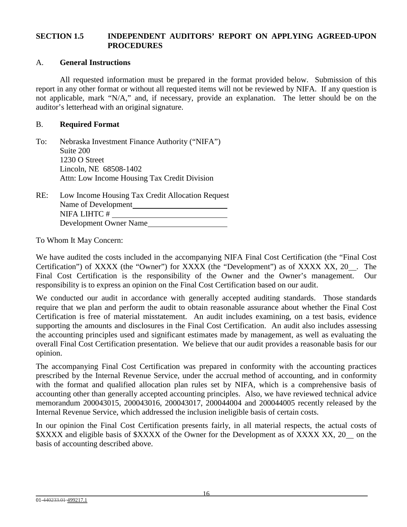# **SECTION 1.5 INDEPENDENT AUDITORS' REPORT ON APPLYING AGREED-UPON PROCEDURES**

#### A. **General Instructions**

All requested information must be prepared in the format provided below. Submission of this report in any other format or without all requested items will not be reviewed by NIFA. If any question is not applicable, mark "N/A," and, if necessary, provide an explanation. The letter should be on the auditor's letterhead with an original signature.

## B. **Required Format**

| To: | Nebraska Investment Finance Authority ("NIFA") |
|-----|------------------------------------------------|
|     | Suite 200                                      |
|     | 1230 O Street                                  |
|     | Lincoln, NE 68508-1402                         |
|     | Attn: Low Income Housing Tax Credit Division   |
|     |                                                |

| RE: | Low Income Housing Tax Credit Allocation Request |
|-----|--------------------------------------------------|
|     | Name of Development                              |
|     | NIFA LIHTC#                                      |
|     | Development Owner Name                           |

To Whom It May Concern:

We have audited the costs included in the accompanying NIFA Final Cost Certification (the "Final Cost Certification") of XXXX (the "Owner") for XXXX (the "Development") as of XXXX XX, 20\_. The Final Cost Certification is the responsibility of the Owner and the Owner's management. Our responsibility is to express an opinion on the Final Cost Certification based on our audit.

We conducted our audit in accordance with generally accepted auditing standards. Those standards require that we plan and perform the audit to obtain reasonable assurance about whether the Final Cost Certification is free of material misstatement. An audit includes examining, on a test basis, evidence supporting the amounts and disclosures in the Final Cost Certification. An audit also includes assessing the accounting principles used and significant estimates made by management, as well as evaluating the overall Final Cost Certification presentation. We believe that our audit provides a reasonable basis for our opinion.

The accompanying Final Cost Certification was prepared in conformity with the accounting practices prescribed by the Internal Revenue Service, under the accrual method of accounting, and in conformity with the format and qualified allocation plan rules set by NIFA, which is a comprehensive basis of accounting other than generally accepted accounting principles. Also, we have reviewed technical advice memorandum 200043015, 200043016, 200043017, 200044004 and 200044005 recently released by the Internal Revenue Service, which addressed the inclusion ineligible basis of certain costs.

In our opinion the Final Cost Certification presents fairly, in all material respects, the actual costs of \$XXXX and eligible basis of \$XXXX of the Owner for the Development as of XXXX XX, 20 \_ on the basis of accounting described above.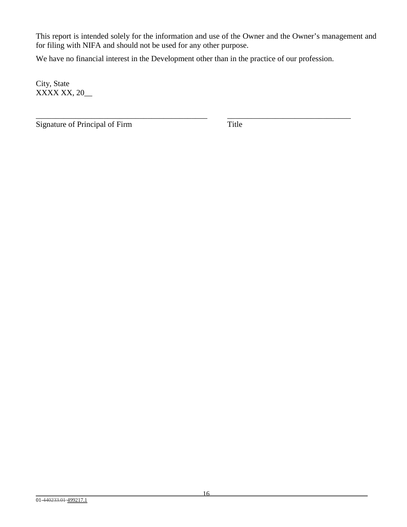This report is intended solely for the information and use of the Owner and the Owner's management and for filing with NIFA and should not be used for any other purpose.

We have no financial interest in the Development other than in the practice of our profession.

\_\_\_\_\_\_\_\_\_\_\_\_\_\_\_\_\_\_\_\_\_\_\_\_\_\_\_\_\_\_\_\_\_\_\_\_\_\_\_\_\_\_\_ \_\_\_\_\_\_\_\_\_\_\_\_\_\_\_\_\_\_\_\_\_\_\_\_\_\_\_\_\_\_\_

City, State XXXX XX, 20\_\_

Signature of Principal of Firm Title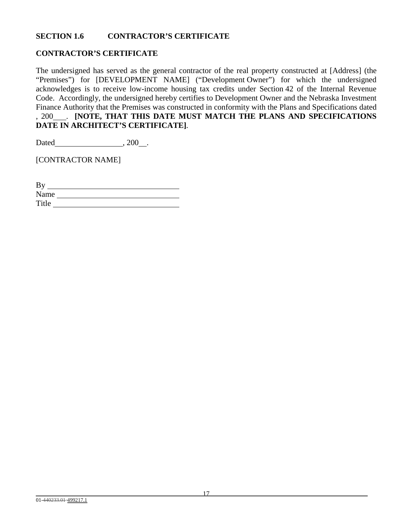# **SECTION 1.6 CONTRACTOR'S CERTIFICATE**

# **CONTRACTOR'S CERTIFICATE**

The undersigned has served as the general contractor of the real property constructed at [Address] (the "Premises") for [DEVELOPMENT NAME] ("Development Owner") for which the undersigned acknowledges is to receive low-income housing tax credits under Section 42 of the Internal Revenue Code. Accordingly, the undersigned hereby certifies to Development Owner and the Nebraska Investment Finance Authority that the Premises was constructed in conformity with the Plans and Specifications dated , 200 . **[NOTE, THAT THIS DATE MUST MATCH THE PLANS AND SPECIFICATIONS DATE IN ARCHITECT'S CERTIFICATE]**.

Dated , 200 .

[CONTRACTOR NAME]

| By    |  |
|-------|--|
| Name  |  |
| Title |  |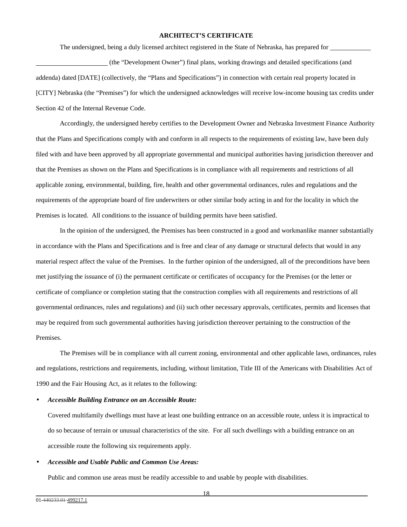#### **ARCHITECT'S CERTIFICATE**

The undersigned, being a duly licensed architect registered in the State of Nebraska, has prepared for

 (the "Development Owner") final plans, working drawings and detailed specifications (and addenda) dated [DATE] (collectively, the "Plans and Specifications") in connection with certain real property located in [CITY] Nebraska (the "Premises") for which the undersigned acknowledges will receive low-income housing tax credits under Section 42 of the Internal Revenue Code.

Accordingly, the undersigned hereby certifies to the Development Owner and Nebraska Investment Finance Authority that the Plans and Specifications comply with and conform in all respects to the requirements of existing law, have been duly filed with and have been approved by all appropriate governmental and municipal authorities having jurisdiction thereover and that the Premises as shown on the Plans and Specifications is in compliance with all requirements and restrictions of all applicable zoning, environmental, building, fire, health and other governmental ordinances, rules and regulations and the requirements of the appropriate board of fire underwriters or other similar body acting in and for the locality in which the Premises is located. All conditions to the issuance of building permits have been satisfied.

In the opinion of the undersigned, the Premises has been constructed in a good and workmanlike manner substantially in accordance with the Plans and Specifications and is free and clear of any damage or structural defects that would in any material respect affect the value of the Premises. In the further opinion of the undersigned, all of the preconditions have been met justifying the issuance of (i) the permanent certificate or certificates of occupancy for the Premises (or the letter or certificate of compliance or completion stating that the construction complies with all requirements and restrictions of all governmental ordinances, rules and regulations) and (ii) such other necessary approvals, certificates, permits and licenses that may be required from such governmental authorities having jurisdiction thereover pertaining to the construction of the Premises.

The Premises will be in compliance with all current zoning, environmental and other applicable laws, ordinances, rules and regulations, restrictions and requirements, including, without limitation, Title III of the Americans with Disabilities Act of 1990 and the Fair Housing Act, as it relates to the following:

#### • *Accessible Building Entrance on an Accessible Route:*

Covered multifamily dwellings must have at least one building entrance on an accessible route, unless it is impractical to do so because of terrain or unusual characteristics of the site. For all such dwellings with a building entrance on an accessible route the following six requirements apply.

#### • *Accessible and Usable Public and Common Use Areas:*

Public and common use areas must be readily accessible to and usable by people with disabilities.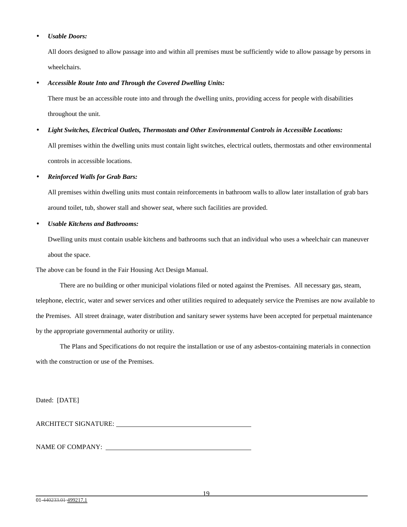#### • *Usable Doors:*

All doors designed to allow passage into and within all premises must be sufficiently wide to allow passage by persons in wheelchairs.

#### • *Accessible Route Into and Through the Covered Dwelling Units:*

There must be an accessible route into and through the dwelling units, providing access for people with disabilities throughout the unit.

#### • *Light Switches, Electrical Outlets, Thermostats and Other Environmental Controls in Accessible Locations:*

All premises within the dwelling units must contain light switches, electrical outlets, thermostats and other environmental controls in accessible locations.

#### • *Reinforced Walls for Grab Bars:*

All premises within dwelling units must contain reinforcements in bathroom walls to allow later installation of grab bars around toilet, tub, shower stall and shower seat, where such facilities are provided.

#### • *Usable Kitchens and Bathrooms:*

Dwelling units must contain usable kitchens and bathrooms such that an individual who uses a wheelchair can maneuver about the space.

The above can be found in the Fair Housing Act Design Manual.

There are no building or other municipal violations filed or noted against the Premises. All necessary gas, steam, telephone, electric, water and sewer services and other utilities required to adequately service the Premises are now available to the Premises. All street drainage, water distribution and sanitary sewer systems have been accepted for perpetual maintenance by the appropriate governmental authority or utility.

The Plans and Specifications do not require the installation or use of any asbestos-containing materials in connection with the construction or use of the Premises.

Dated: [DATE]

ARCHITECT SIGNATURE:

NAME OF COMPANY: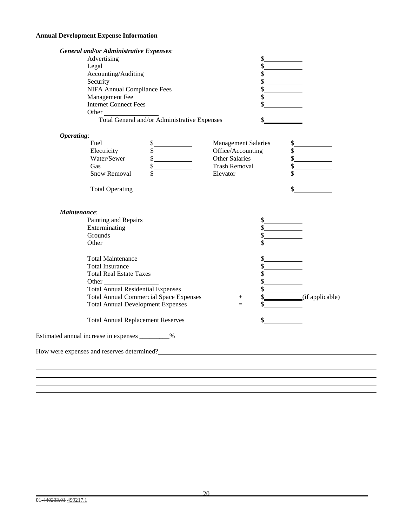### **Annual Development Expense Information**

| <b>General and/or Administrative Expenses:</b>   |                                                                           |
|--------------------------------------------------|---------------------------------------------------------------------------|
| Advertising                                      | s                                                                         |
| Legal                                            |                                                                           |
| Accounting/Auditing                              | $\frac{\text{S}}{\text{S}}$                                               |
| Security                                         |                                                                           |
| <b>NIFA Annual Compliance Fees</b>               |                                                                           |
| Management Fee                                   |                                                                           |
| <b>Internet Connect Fees</b>                     |                                                                           |
| Other                                            |                                                                           |
| Total General and/or Administrative Expenses     | \$                                                                        |
| Operating:                                       |                                                                           |
| Fuel                                             | <b>Management Salaries</b><br>s                                           |
| Electricity<br>s                                 | Office/Accounting                                                         |
| Water/Sewer                                      | <b>Other Salaries</b><br>$\frac{1}{2}$                                    |
| Gas<br>$\frac{1}{2}$                             | <b>Trash Removal</b>                                                      |
| Snow Removal                                     | \$<br>Elevator                                                            |
| <b>Total Operating</b>                           | \$                                                                        |
| Maintenance:                                     |                                                                           |
| Painting and Repairs                             |                                                                           |
| Exterminating                                    | $\frac{\text{S}}{\text{S}}$                                               |
| Grounds                                          | $\frac{1}{2}$                                                             |
| Other                                            |                                                                           |
| <b>Total Maintenance</b>                         |                                                                           |
| <b>Total Insurance</b>                           | $\frac{1}{2}$                                                             |
| <b>Total Real Estate Taxes</b>                   |                                                                           |
|                                                  |                                                                           |
| <b>Total Annual Residential Expenses</b>         | $\frac{\sqrt[8]{\text{exp}(x)}}{\sqrt[8]{\text{exp}(x)}}$ (if applicable) |
| <b>Total Annual Commercial Space Expenses</b>    | $^{+}$                                                                    |
| <b>Total Annual Development Expenses</b>         | $=$                                                                       |
| <b>Total Annual Replacement Reserves</b>         |                                                                           |
| Estimated annual increase in expenses _________% |                                                                           |
| How were expenses and reserves determined?       |                                                                           |
|                                                  |                                                                           |
|                                                  |                                                                           |
|                                                  |                                                                           |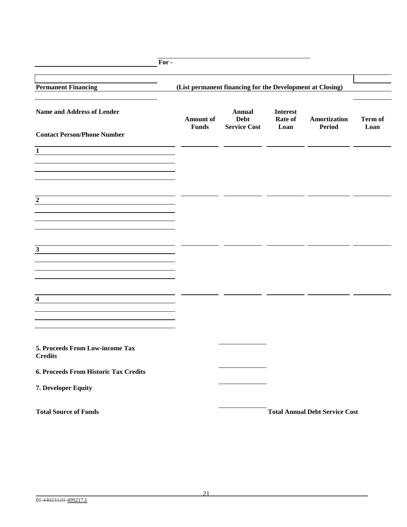| For-                                              |                                                           |                                              |                                    |                                       |                 |
|---------------------------------------------------|-----------------------------------------------------------|----------------------------------------------|------------------------------------|---------------------------------------|-----------------|
| <b>Permanent Financing</b>                        | (List permanent financing for the Development at Closing) |                                              |                                    |                                       |                 |
| Name and Address of Lender                        | <b>Amount of</b><br><b>Funds</b>                          | Annual<br><b>Debt</b><br><b>Service Cost</b> | <b>Interest</b><br>Rate of<br>Loan | Amortization<br><b>Period</b>         | Term of<br>Loan |
| <b>Contact Person/Phone Number</b>                |                                                           |                                              |                                    |                                       |                 |
| $\mathbf 1$                                       |                                                           |                                              |                                    |                                       |                 |
|                                                   |                                                           |                                              |                                    |                                       |                 |
| $\boldsymbol{2}$                                  |                                                           |                                              |                                    |                                       |                 |
|                                                   |                                                           |                                              |                                    |                                       |                 |
|                                                   |                                                           |                                              |                                    |                                       |                 |
| $\mathbf{3}$                                      |                                                           |                                              |                                    |                                       |                 |
|                                                   |                                                           |                                              |                                    |                                       |                 |
| $\overline{\mathbf{4}}$                           |                                                           |                                              |                                    |                                       |                 |
|                                                   |                                                           |                                              |                                    |                                       |                 |
| 5. Proceeds From Low-income Tax<br><b>Credits</b> |                                                           |                                              |                                    |                                       |                 |
| 6. Proceeds From Historic Tax Credits             |                                                           |                                              |                                    |                                       |                 |
| 7. Developer Equity                               |                                                           |                                              |                                    |                                       |                 |
| <b>Total Source of Funds</b>                      |                                                           |                                              |                                    | <b>Total Annual Debt Service Cost</b> |                 |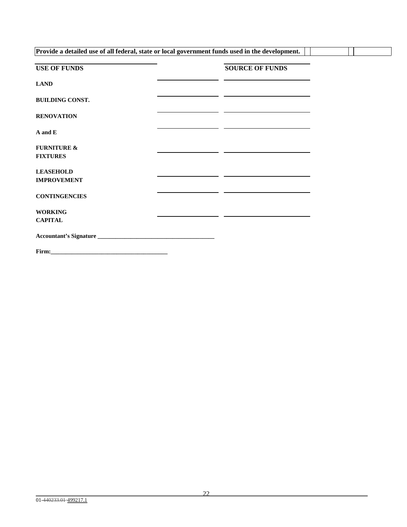| Provide a detailed use of all federal, state or local government funds used in the development. |  |                                                                                                                      |  |  |
|-------------------------------------------------------------------------------------------------|--|----------------------------------------------------------------------------------------------------------------------|--|--|
| <b>USE OF FUNDS</b>                                                                             |  | <b>SOURCE OF FUNDS</b>                                                                                               |  |  |
| <b>LAND</b>                                                                                     |  |                                                                                                                      |  |  |
| <b>BUILDING CONST.</b>                                                                          |  | <u> Alexandria de la contrada de la contrada de la contrada de la contrada de la contrada de la contrada de la c</u> |  |  |
| <b>RENOVATION</b>                                                                               |  | <u> 1989 - Andrea Station Andrea Station (b. 1989)</u>                                                               |  |  |
| A and E                                                                                         |  | <u> 1980 - Johann John Stone, markin film yn y brenin y brenin y brenin y brenin y brenin y brenin y brenin y br</u> |  |  |
| <b>FURNITURE &amp;</b><br><b>FIXTURES</b>                                                       |  |                                                                                                                      |  |  |
| <b>LEASEHOLD</b>                                                                                |  | <u> 1989 - Johann John Stone, markin film yn y brenin y brenin y brenin y brenin y brenin y brenin y brenin y br</u> |  |  |
| <b>IMPROVEMENT</b>                                                                              |  |                                                                                                                      |  |  |
| <b>CONTINGENCIES</b>                                                                            |  | <u> 1989 - Johann Harry Barn, mars an t-Amerikaansk kommunister (</u>                                                |  |  |
| <b>WORKING</b>                                                                                  |  |                                                                                                                      |  |  |
| <b>CAPITAL</b>                                                                                  |  |                                                                                                                      |  |  |
|                                                                                                 |  |                                                                                                                      |  |  |
|                                                                                                 |  |                                                                                                                      |  |  |